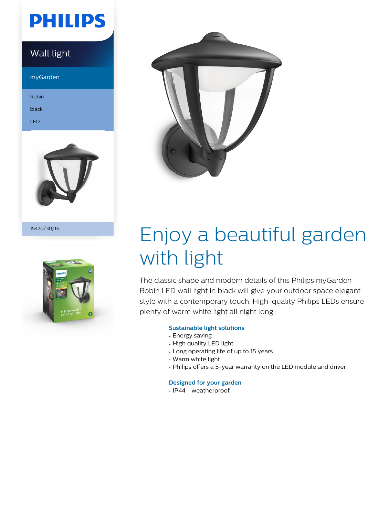# **PHILIPS**

### Wall light

myGarden

Robin

black

LED



15470/30/16





# Enjoy a beautiful garden with light

The classic shape and modern details of this Philips myGarden Robin LED wall light in black will give your outdoor space elegant style with a contemporary touch. High-quality Philips LEDs ensure plenty of warm white light all night long.

#### **Sustainable light solutions**

- Energy saving
- High quality LED light
- Long operating life of up to 15 years
- Warm white light
- Philips offers a 5-year warranty on the LED module and driver

#### **Designed for your garden**

• IP44 - weatherproof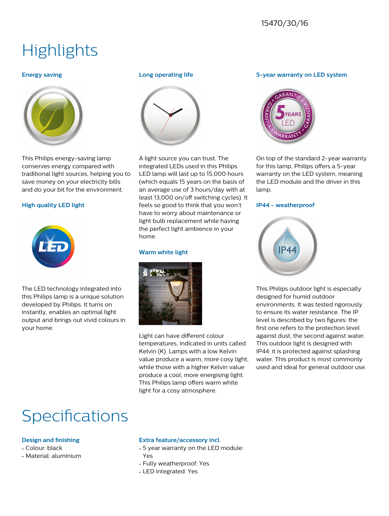### 15470/30/16

## **Highlights**

#### **Energy saving**



This Philips energy-saving lamp conserves energy compared with traditional light sources, helping you to save money on your electricity bills and do your bit for the environment.

#### **High quality LED light**



The LED technology integrated into this Philips lamp is a unique solution developed by Philips. It turns on instantly, enables an optimal light output and brings out vivid colours in your home.

#### **Long operating life**



A light source you can trust. The integrated LEDs used in this Philips LED lamp will last up to 15,000 hours (which equals 15 years on the basis of an average use of 3 hours/day with at least 13,000 on/off switching cycles). It feels so good to think that you won't have to worry about maintenance or light bulb replacement while having the perfect light ambience in your home.

#### **Warm white light**



Light can have different colour temperatures, indicated in units called Kelvin (K). Lamps with a low Kelvin value produce a warm, more cosy light, while those with a higher Kelvin value produce a cool, more energising light. This Philips lamp offers warm white light for a cosy atmosphere.

#### **5-year warranty on LED system**



On top of the standard 2-year warranty for this lamp, Philips offers a 5-year warranty on the LED system, meaning the LED module and the driver in this lamp.

#### **IP44 - weatherproof**



This Philips outdoor light is especially designed for humid outdoor environments. It was tested rigorously to ensure its water resistance. The IP level is described by two figures: the first one refers to the protection level against dust, the second against water. This outdoor light is designed with IP44: it is protected against splashing water. This product is most commonly used and ideal for general outdoor use.

## Specifications

#### **Design and finishing**

- Colour: black
- Material: aluminium

#### **Extra feature/accessory incl.**

- 5 year warranty on the LED module: Yes
- Fully weatherproof: Yes
- LED integrated: Yes